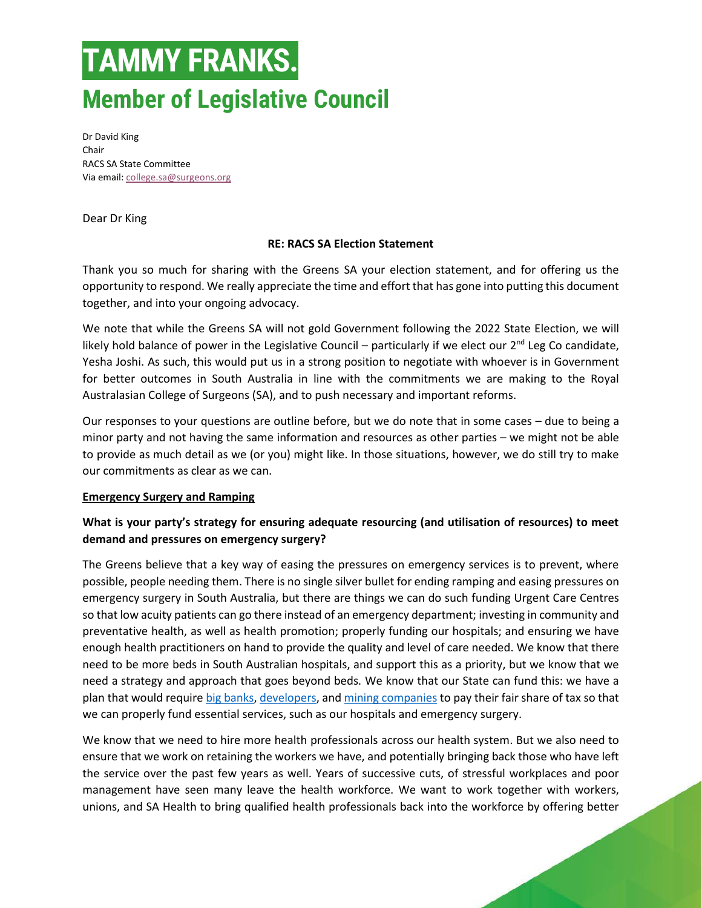Dr David King Chair RACS SA State Committee Via email[: college.sa@surgeons.org](mailto:college.sa@surgeons.org)

Dear Dr King

### **RE: RACS SA Election Statement**

Thank you so much for sharing with the Greens SA your election statement, and for offering us the opportunity to respond. We really appreciate the time and effort that has gone into putting this document together, and into your ongoing advocacy.

We note that while the Greens SA will not gold Government following the 2022 State Election, we will likely hold balance of power in the Legislative Council – particularly if we elect our  $2^{nd}$  Leg Co candidate, Yesha Joshi. As such, this would put us in a strong position to negotiate with whoever is in Government for better outcomes in South Australia in line with the commitments we are making to the Royal Australasian College of Surgeons (SA), and to push necessary and important reforms.

Our responses to your questions are outline before, but we do note that in some cases – due to being a minor party and not having the same information and resources as other parties – we might not be able to provide as much detail as we (or you) might like. In those situations, however, we do still try to make our commitments as clear as we can.

#### **Emergency Surgery and Ramping**

## **What is your party's strategy for ensuring adequate resourcing (and utilisation of resources) to meet demand and pressures on emergency surgery?**

The Greens believe that a key way of easing the pressures on emergency services is to prevent, where possible, people needing them. There is no single silver bullet for ending ramping and easing pressures on emergency surgery in South Australia, but there are things we can do such funding Urgent Care Centres so that low acuity patients can go there instead of an emergency department; investing in community and preventative health, as well as health promotion; properly funding our hospitals; and ensuring we have enough health practitioners on hand to provide the quality and level of care needed. We know that there need to be more beds in South Australian hospitals, and support this as a priority, but we know that we need a strategy and approach that goes beyond beds. We know that our State can fund this: we have a plan that would requir[e big banks,](https://greens.org.au/sa/election-platform/big-bank-levy) [developers,](https://greens.org.au/sa/election-platform/developer-tax) and [mining companies](https://greens.org.au/sa/election-platform/mining-royalties) to pay their fair share of tax so that we can properly fund essential services, such as our hospitals and emergency surgery.

We know that we need to hire more health professionals across our health system. But we also need to ensure that we work on retaining the workers we have, and potentially bringing back those who have left the service over the past few years as well. Years of successive cuts, of stressful workplaces and poor management have seen many leave the health workforce. We want to work together with workers, unions, and SA Health to bring qualified health professionals back into the workforce by offering better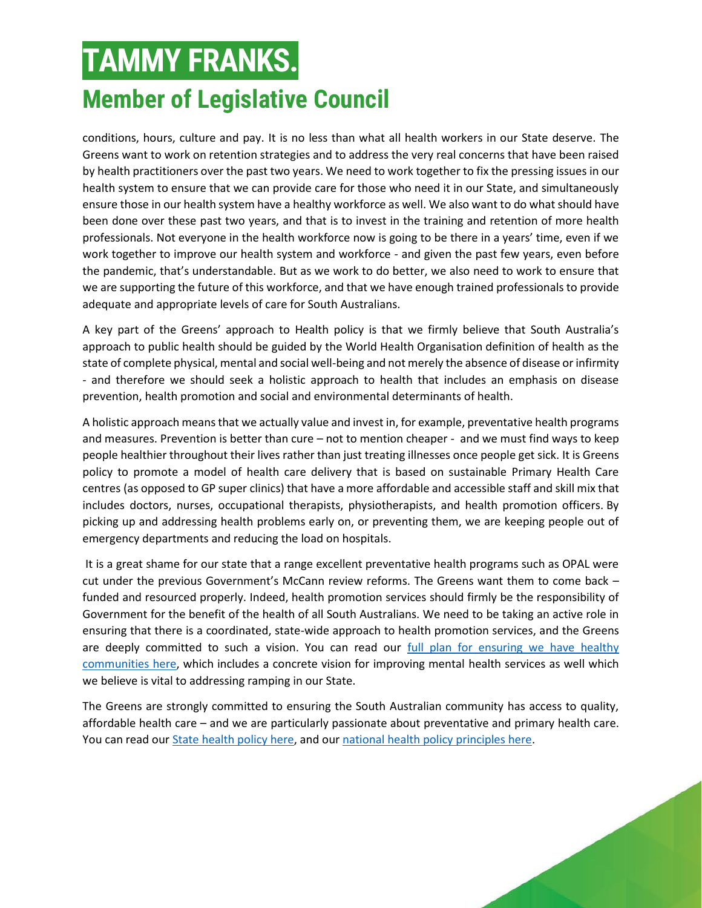conditions, hours, culture and pay. It is no less than what all health workers in our State deserve. The Greens want to work on retention strategies and to address the very real concerns that have been raised by health practitioners over the past two years. We need to work together to fix the pressing issues in our health system to ensure that we can provide care for those who need it in our State, and simultaneously ensure those in our health system have a healthy workforce as well. We also want to do what should have been done over these past two years, and that is to invest in the training and retention of more health professionals. Not everyone in the health workforce now is going to be there in a years' time, even if we work together to improve our health system and workforce - and given the past few years, even before the pandemic, that's understandable. But as we work to do better, we also need to work to ensure that we are supporting the future of this workforce, and that we have enough trained professionals to provide adequate and appropriate levels of care for South Australians.

A key part of the Greens' approach to Health policy is that we firmly believe that South Australia's approach to public health should be guided by the World Health Organisation definition of health as the state of complete physical, mental and social well-being and not merely the absence of disease or infirmity - and therefore we should seek a holistic approach to health that includes an emphasis on disease prevention, health promotion and social and environmental determinants of health.

A holistic approach means that we actually value and invest in, for example, preventative health programs and measures. Prevention is better than cure – not to mention cheaper -  and we must find ways to keep people healthier throughout their lives rather than just treating illnesses once people get sick. It is Greens policy to promote a model of health care delivery that is based on sustainable Primary Health Care centres (as opposed to GP super clinics) that have a more affordable and accessible staff and skill mix that includes doctors, nurses, occupational therapists, physiotherapists, and health promotion officers. By picking up and addressing health problems early on, or preventing them, we are keeping people out of emergency departments and reducing the load on hospitals.

It is a great shame for our state that a range excellent preventative health programs such as OPAL were cut under the previous Government's McCann review reforms. The Greens want them to come back – funded and resourced properly. Indeed, health promotion services should firmly be the responsibility of Government for the benefit of the health of all South Australians. We need to be taking an active role in ensuring that there is a coordinated, state-wide approach to health promotion services, and the Greens are deeply committed to such a vision. You can read our full plan for ensuring we have healthy [communities here,](https://greens.org.au/sa/platform/healthy-communities) which includes a concrete vision for improving mental health services as well which we believe is vital to addressing ramping in our State.

The Greens are strongly committed to ensuring the South Australian community has access to quality, affordable health care – and we are particularly passionate about preventative and primary health care. You can read our [State health policy here,](https://greens.org.au/sa/policies/health) and our [national health policy principles here.](https://greens.org.au/policies/health)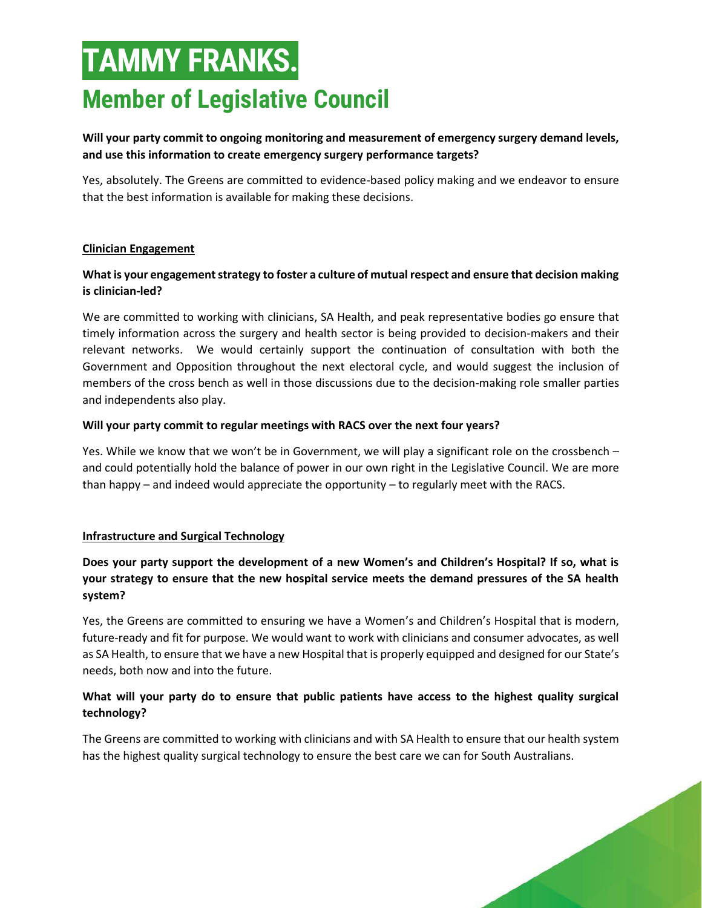## **Will your party commit to ongoing monitoring and measurement of emergency surgery demand levels, and use this information to create emergency surgery performance targets?**

Yes, absolutely. The Greens are committed to evidence-based policy making and we endeavor to ensure that the best information is available for making these decisions.

### **Clinician Engagement**

### **What is your engagement strategy to foster a culture of mutual respect and ensure that decision making is clinician-led?**

We are committed to working with clinicians, SA Health, and peak representative bodies go ensure that timely information across the surgery and health sector is being provided to decision-makers and their relevant networks. We would certainly support the continuation of consultation with both the Government and Opposition throughout the next electoral cycle, and would suggest the inclusion of members of the cross bench as well in those discussions due to the decision-making role smaller parties and independents also play.

#### **Will your party commit to regular meetings with RACS over the next four years?**

Yes. While we know that we won't be in Government, we will play a significant role on the crossbench – and could potentially hold the balance of power in our own right in the Legislative Council. We are more than happy – and indeed would appreciate the opportunity – to regularly meet with the RACS.

### **Infrastructure and Surgical Technology**

## **Does your party support the development of a new Women's and Children's Hospital? If so, what is your strategy to ensure that the new hospital service meets the demand pressures of the SA health system?**

Yes, the Greens are committed to ensuring we have a Women's and Children's Hospital that is modern, future-ready and fit for purpose. We would want to work with clinicians and consumer advocates, as well as SA Health, to ensure that we have a new Hospital that is properly equipped and designed for our State's needs, both now and into the future.

### **What will your party do to ensure that public patients have access to the highest quality surgical technology?**

The Greens are committed to working with clinicians and with SA Health to ensure that our health system has the highest quality surgical technology to ensure the best care we can for South Australians.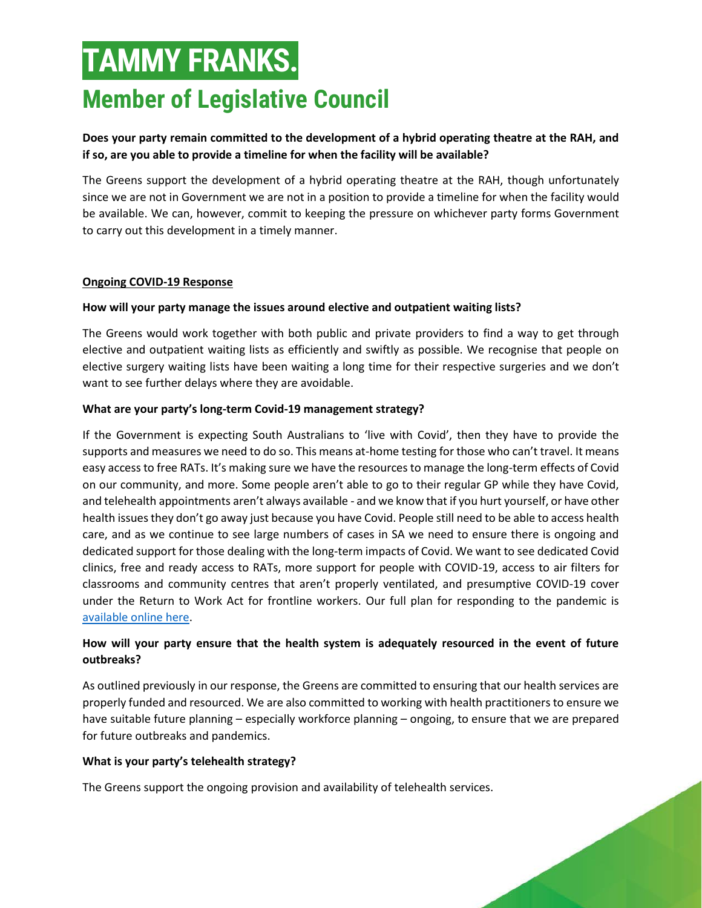## **Does your party remain committed to the development of a hybrid operating theatre at the RAH, and if so, are you able to provide a timeline for when the facility will be available?**

The Greens support the development of a hybrid operating theatre at the RAH, though unfortunately since we are not in Government we are not in a position to provide a timeline for when the facility would be available. We can, however, commit to keeping the pressure on whichever party forms Government to carry out this development in a timely manner.

### **Ongoing COVID-19 Response**

### **How will your party manage the issues around elective and outpatient waiting lists?**

The Greens would work together with both public and private providers to find a way to get through elective and outpatient waiting lists as efficiently and swiftly as possible. We recognise that people on elective surgery waiting lists have been waiting a long time for their respective surgeries and we don't want to see further delays where they are avoidable.

### **What are your party's long-term Covid-19 management strategy?**

If the Government is expecting South Australians to 'live with Covid', then they have to provide the supports and measures we need to do so. This means at-home testing for those who can't travel. It means easy access to free RATs. It's making sure we have the resources to manage the long-term effects of Covid on our community, and more. Some people aren't able to go to their regular GP while they have Covid, and telehealth appointments aren't always available - and we know that if you hurt yourself, or have other health issues they don't go away just because you have Covid. People still need to be able to access health care, and as we continue to see large numbers of cases in SA we need to ensure there is ongoing and dedicated support for those dealing with the long-term impacts of Covid. We want to see dedicated Covid clinics, free and ready access to RATs, more support for people with COVID-19, access to air filters for classrooms and community centres that aren't properly ventilated, and presumptive COVID-19 cover under the Return to Work Act for frontline workers. Our full plan for responding to the pandemic is [available online here.](https://greens.org.au/sa/platform/responding-to-pandemic)

## **How will your party ensure that the health system is adequately resourced in the event of future outbreaks?**

As outlined previously in our response, the Greens are committed to ensuring that our health services are properly funded and resourced. We are also committed to working with health practitioners to ensure we have suitable future planning – especially workforce planning – ongoing, to ensure that we are prepared for future outbreaks and pandemics.

#### **What is your party's telehealth strategy?**

The Greens support the ongoing provision and availability of telehealth services.